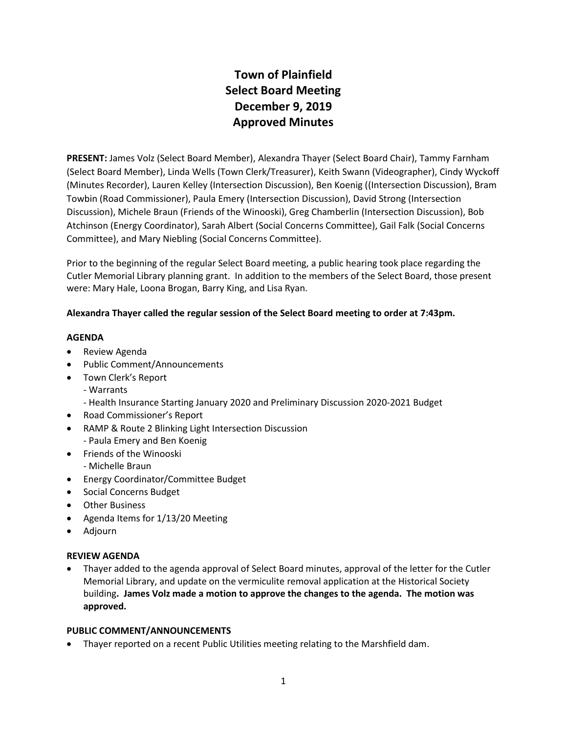## **Town of Plainfield Select Board Meeting December 9, 2019 Approved Minutes**

**PRESENT:** James Volz (Select Board Member), Alexandra Thayer (Select Board Chair), Tammy Farnham (Select Board Member), Linda Wells (Town Clerk/Treasurer), Keith Swann (Videographer), Cindy Wyckoff (Minutes Recorder), Lauren Kelley (Intersection Discussion), Ben Koenig ((Intersection Discussion), Bram Towbin (Road Commissioner), Paula Emery (Intersection Discussion), David Strong (Intersection Discussion), Michele Braun (Friends of the Winooski), Greg Chamberlin (Intersection Discussion), Bob Atchinson (Energy Coordinator), Sarah Albert (Social Concerns Committee), Gail Falk (Social Concerns Committee), and Mary Niebling (Social Concerns Committee).

Prior to the beginning of the regular Select Board meeting, a public hearing took place regarding the Cutler Memorial Library planning grant. In addition to the members of the Select Board, those present were: Mary Hale, Loona Brogan, Barry King, and Lisa Ryan.

## **Alexandra Thayer called the regular session of the Select Board meeting to order at 7:43pm.**

### **AGENDA**

- Review Agenda
- Public Comment/Announcements
- Town Clerk's Report
- Warrants
	- Health Insurance Starting January 2020 and Preliminary Discussion 2020-2021 Budget
- Road Commissioner's Report
- RAMP & Route 2 Blinking Light Intersection Discussion - Paula Emery and Ben Koenig
- Friends of the Winooski - Michelle Braun
- Energy Coordinator/Committee Budget
- Social Concerns Budget
- Other Business
- Agenda Items for 1/13/20 Meeting
- Adjourn

### **REVIEW AGENDA**

 Thayer added to the agenda approval of Select Board minutes, approval of the letter for the Cutler Memorial Library, and update on the vermiculite removal application at the Historical Society building**. James Volz made a motion to approve the changes to the agenda. The motion was approved.**

### **PUBLIC COMMENT/ANNOUNCEMENTS**

Thayer reported on a recent Public Utilities meeting relating to the Marshfield dam.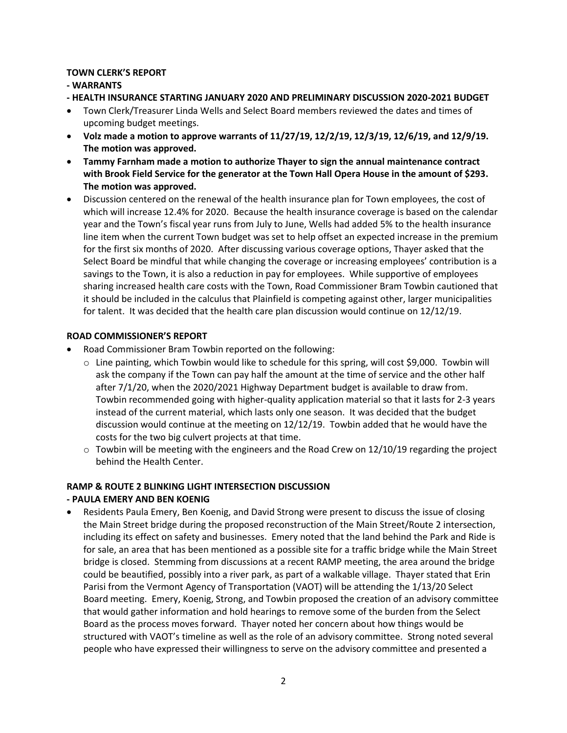### **TOWN CLERK'S REPORT**

## **- WARRANTS**

## **- HEALTH INSURANCE STARTING JANUARY 2020 AND PRELIMINARY DISCUSSION 2020-2021 BUDGET**

- Town Clerk/Treasurer Linda Wells and Select Board members reviewed the dates and times of upcoming budget meetings.
- **Volz made a motion to approve warrants of 11/27/19, 12/2/19, 12/3/19, 12/6/19, and 12/9/19. The motion was approved.**
- **Tammy Farnham made a motion to authorize Thayer to sign the annual maintenance contract with Brook Field Service for the generator at the Town Hall Opera House in the amount of \$293. The motion was approved.**
- Discussion centered on the renewal of the health insurance plan for Town employees, the cost of which will increase 12.4% for 2020. Because the health insurance coverage is based on the calendar year and the Town's fiscal year runs from July to June, Wells had added 5% to the health insurance line item when the current Town budget was set to help offset an expected increase in the premium for the first six months of 2020. After discussing various coverage options, Thayer asked that the Select Board be mindful that while changing the coverage or increasing employees' contribution is a savings to the Town, it is also a reduction in pay for employees. While supportive of employees sharing increased health care costs with the Town, Road Commissioner Bram Towbin cautioned that it should be included in the calculus that Plainfield is competing against other, larger municipalities for talent. It was decided that the health care plan discussion would continue on 12/12/19.

## **ROAD COMMISSIONER'S REPORT**

- Road Commissioner Bram Towbin reported on the following:
	- $\circ$  Line painting, which Towbin would like to schedule for this spring, will cost \$9,000. Towbin will ask the company if the Town can pay half the amount at the time of service and the other half after 7/1/20, when the 2020/2021 Highway Department budget is available to draw from. Towbin recommended going with higher-quality application material so that it lasts for 2-3 years instead of the current material, which lasts only one season. It was decided that the budget discussion would continue at the meeting on 12/12/19. Towbin added that he would have the costs for the two big culvert projects at that time.
	- $\circ$  Towbin will be meeting with the engineers and the Road Crew on 12/10/19 regarding the project behind the Health Center.

# **RAMP & ROUTE 2 BLINKING LIGHT INTERSECTION DISCUSSION**

## **- PAULA EMERY AND BEN KOENIG**

 Residents Paula Emery, Ben Koenig, and David Strong were present to discuss the issue of closing the Main Street bridge during the proposed reconstruction of the Main Street/Route 2 intersection, including its effect on safety and businesses. Emery noted that the land behind the Park and Ride is for sale, an area that has been mentioned as a possible site for a traffic bridge while the Main Street bridge is closed. Stemming from discussions at a recent RAMP meeting, the area around the bridge could be beautified, possibly into a river park, as part of a walkable village. Thayer stated that Erin Parisi from the Vermont Agency of Transportation (VAOT) will be attending the 1/13/20 Select Board meeting. Emery, Koenig, Strong, and Towbin proposed the creation of an advisory committee that would gather information and hold hearings to remove some of the burden from the Select Board as the process moves forward. Thayer noted her concern about how things would be structured with VAOT's timeline as well as the role of an advisory committee. Strong noted several people who have expressed their willingness to serve on the advisory committee and presented a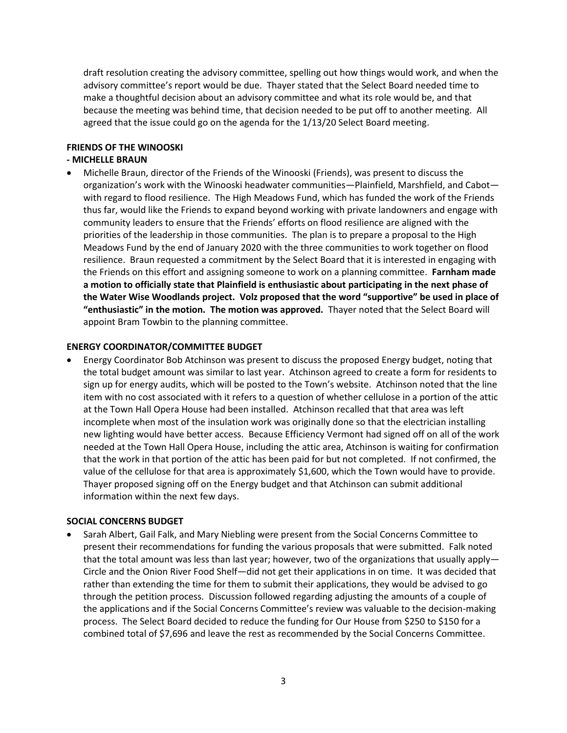draft resolution creating the advisory committee, spelling out how things would work, and when the advisory committee's report would be due. Thayer stated that the Select Board needed time to make a thoughtful decision about an advisory committee and what its role would be, and that because the meeting was behind time, that decision needed to be put off to another meeting. All agreed that the issue could go on the agenda for the 1/13/20 Select Board meeting.

### **FRIENDS OF THE WINOOSKI**

### **- MICHELLE BRAUN**

 Michelle Braun, director of the Friends of the Winooski (Friends), was present to discuss the organization's work with the Winooski headwater communities—Plainfield, Marshfield, and Cabot with regard to flood resilience. The High Meadows Fund, which has funded the work of the Friends thus far, would like the Friends to expand beyond working with private landowners and engage with community leaders to ensure that the Friends' efforts on flood resilience are aligned with the priorities of the leadership in those communities. The plan is to prepare a proposal to the High Meadows Fund by the end of January 2020 with the three communities to work together on flood resilience. Braun requested a commitment by the Select Board that it is interested in engaging with the Friends on this effort and assigning someone to work on a planning committee. **Farnham made a motion to officially state that Plainfield is enthusiastic about participating in the next phase of the Water Wise Woodlands project. Volz proposed that the word "supportive" be used in place of "enthusiastic" in the motion. The motion was approved.** Thayer noted that the Select Board will appoint Bram Towbin to the planning committee.

### **ENERGY COORDINATOR/COMMITTEE BUDGET**

 Energy Coordinator Bob Atchinson was present to discuss the proposed Energy budget, noting that the total budget amount was similar to last year. Atchinson agreed to create a form for residents to sign up for energy audits, which will be posted to the Town's website. Atchinson noted that the line item with no cost associated with it refers to a question of whether cellulose in a portion of the attic at the Town Hall Opera House had been installed. Atchinson recalled that that area was left incomplete when most of the insulation work was originally done so that the electrician installing new lighting would have better access. Because Efficiency Vermont had signed off on all of the work needed at the Town Hall Opera House, including the attic area, Atchinson is waiting for confirmation that the work in that portion of the attic has been paid for but not completed. If not confirmed, the value of the cellulose for that area is approximately \$1,600, which the Town would have to provide. Thayer proposed signing off on the Energy budget and that Atchinson can submit additional information within the next few days.

#### **SOCIAL CONCERNS BUDGET**

 Sarah Albert, Gail Falk, and Mary Niebling were present from the Social Concerns Committee to present their recommendations for funding the various proposals that were submitted. Falk noted that the total amount was less than last year; however, two of the organizations that usually apply— Circle and the Onion River Food Shelf—did not get their applications in on time. It was decided that rather than extending the time for them to submit their applications, they would be advised to go through the petition process. Discussion followed regarding adjusting the amounts of a couple of the applications and if the Social Concerns Committee's review was valuable to the decision-making process. The Select Board decided to reduce the funding for Our House from \$250 to \$150 for a combined total of \$7,696 and leave the rest as recommended by the Social Concerns Committee.